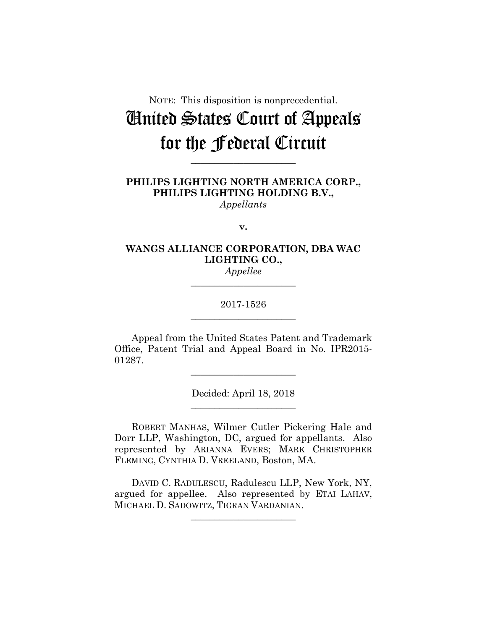# NOTE: This disposition is nonprecedential. United States Court of Appeals for the Federal Circuit

**PHILIPS LIGHTING NORTH AMERICA CORP., PHILIPS LIGHTING HOLDING B.V.,** *Appellants*

**\_\_\_\_\_\_\_\_\_\_\_\_\_\_\_\_\_\_\_\_\_\_** 

**v.**

## **WANGS ALLIANCE CORPORATION, DBA WAC LIGHTING CO.,** *Appellee*

**\_\_\_\_\_\_\_\_\_\_\_\_\_\_\_\_\_\_\_\_\_\_** 

2017-1526 **\_\_\_\_\_\_\_\_\_\_\_\_\_\_\_\_\_\_\_\_\_\_** 

Appeal from the United States Patent and Trademark Office, Patent Trial and Appeal Board in No. IPR2015- 01287.

**\_\_\_\_\_\_\_\_\_\_\_\_\_\_\_\_\_\_\_\_\_\_** 

Decided: April 18, 2018 **\_\_\_\_\_\_\_\_\_\_\_\_\_\_\_\_\_\_\_\_\_\_** 

 ROBERT MANHAS, Wilmer Cutler Pickering Hale and Dorr LLP, Washington, DC, argued for appellants. Also represented by ARIANNA EVERS; MARK CHRISTOPHER FLEMING, CYNTHIA D. VREELAND, Boston, MA.

 DAVID C. RADULESCU, Radulescu LLP, New York, NY, argued for appellee. Also represented by ETAI LAHAV, MICHAEL D. SADOWITZ, TIGRAN VARDANIAN.

**\_\_\_\_\_\_\_\_\_\_\_\_\_\_\_\_\_\_\_\_\_\_**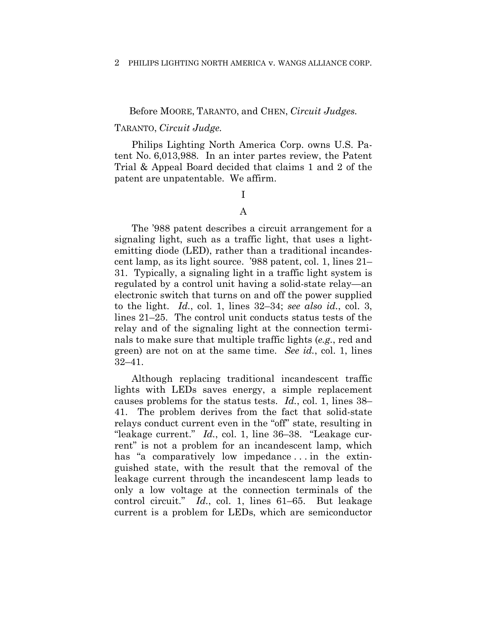## Before MOORE, TARANTO, and CHEN, *Circuit Judges.*

## TARANTO, *Circuit Judge.*

Philips Lighting North America Corp. owns U.S. Patent No. 6,013,988. In an inter partes review, the Patent Trial & Appeal Board decided that claims 1 and 2 of the patent are unpatentable. We affirm.

# I

## A

The '988 patent describes a circuit arrangement for a signaling light, such as a traffic light, that uses a lightemitting diode (LED), rather than a traditional incandescent lamp, as its light source. '988 patent, col. 1, lines 21– 31. Typically, a signaling light in a traffic light system is regulated by a control unit having a solid-state relay—an electronic switch that turns on and off the power supplied to the light. *Id.*, col. 1, lines 32–34; *see also id.*, col. 3, lines 21–25. The control unit conducts status tests of the relay and of the signaling light at the connection terminals to make sure that multiple traffic lights (*e.g.*, red and green) are not on at the same time. *See id.*, col. 1, lines 32–41.

Although replacing traditional incandescent traffic lights with LEDs saves energy, a simple replacement causes problems for the status tests. *Id.*, col. 1, lines 38– 41. The problem derives from the fact that solid-state relays conduct current even in the "off" state, resulting in "leakage current." *Id.*, col. 1, line 36–38. "Leakage current" is not a problem for an incandescent lamp, which has "a comparatively low impedance... in the extinguished state, with the result that the removal of the leakage current through the incandescent lamp leads to only a low voltage at the connection terminals of the control circuit." *Id.*, col. 1, lines 61–65. But leakage current is a problem for LEDs, which are semiconductor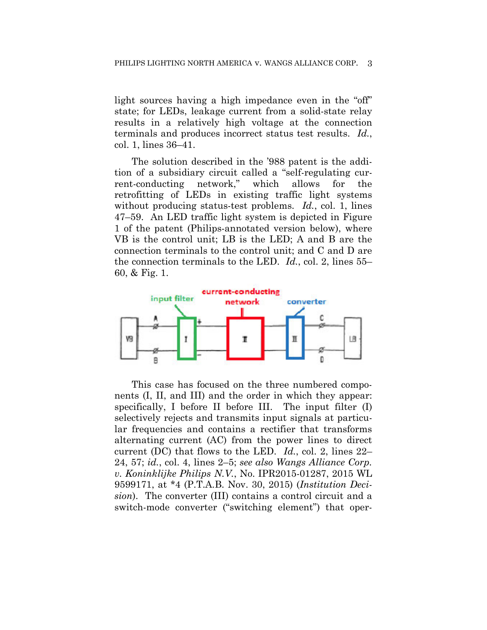light sources having a high impedance even in the "off" state; for LEDs, leakage current from a solid-state relay results in a relatively high voltage at the connection terminals and produces incorrect status test results. *Id.*, col. 1, lines 36–41.

The solution described in the '988 patent is the addition of a subsidiary circuit called a "self-regulating current-conducting network," which allows for the retrofitting of LEDs in existing traffic light systems without producing status-test problems. *Id.*, col. 1, lines 47–59. An LED traffic light system is depicted in Figure 1 of the patent (Philips-annotated version below), where VB is the control unit; LB is the LED; A and B are the connection terminals to the control unit; and C and D are the connection terminals to the LED. *Id.*, col. 2, lines 55– 60, & Fig. 1.



This case has focused on the three numbered components (I, II, and III) and the order in which they appear: specifically, I before II before III. The input filter (I) selectively rejects and transmits input signals at particular frequencies and contains a rectifier that transforms alternating current (AC) from the power lines to direct current (DC) that flows to the LED. *Id.*, col. 2, lines 22– 24, 57; *id.*, col. 4, lines 2–5; *see also Wangs Alliance Corp. v. Koninklijke Philips N.V.*, No. IPR2015-01287, 2015 WL 9599171, at \*4 (P.T.A.B. Nov. 30, 2015) (*Institution Decision*). The converter (III) contains a control circuit and a switch-mode converter ("switching element") that oper-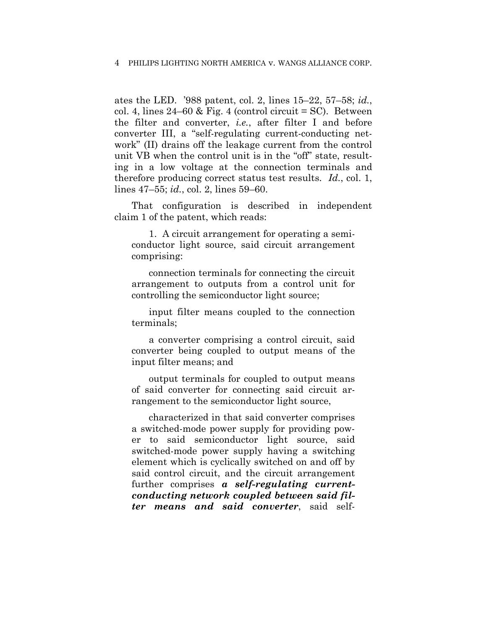ates the LED. '988 patent, col. 2, lines 15–22, 57–58; *id.*, col. 4, lines  $24-60$  & Fig. 4 (control circuit = SC). Between the filter and converter, *i.e.*, after filter I and before converter III, a "self-regulating current-conducting network" (II) drains off the leakage current from the control unit VB when the control unit is in the "off" state, resulting in a low voltage at the connection terminals and therefore producing correct status test results. *Id.*, col. 1, lines 47–55; *id.*, col. 2, lines 59–60.

That configuration is described in independent claim 1 of the patent, which reads:

1. A circuit arrangement for operating a semiconductor light source, said circuit arrangement comprising:

connection terminals for connecting the circuit arrangement to outputs from a control unit for controlling the semiconductor light source;

input filter means coupled to the connection terminals;

a converter comprising a control circuit, said converter being coupled to output means of the input filter means; and

output terminals for coupled to output means of said converter for connecting said circuit arrangement to the semiconductor light source,

characterized in that said converter comprises a switched-mode power supply for providing power to said semiconductor light source, said switched-mode power supply having a switching element which is cyclically switched on and off by said control circuit, and the circuit arrangement further comprises *a self-regulating currentconducting network coupled between said filter means and said converter*, said self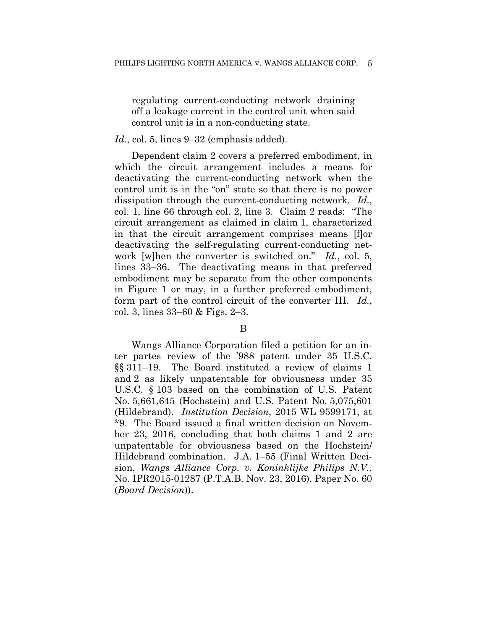regulating current-conducting network draining off a leakage current in the control unit when said control unit is in a non-conducting state.

## Id., col. 5, lines 9–32 (emphasis added).

Dependent claim 2 covers a preferred embodiment, in which the circuit arrangement includes a means for deactivating the current-conducting network when the control unit is in the "on" state so that there is no power dissipation through the current-conducting network. *Id.*, col. 1, line 66 through col. 2, line 3. Claim 2 reads: "The circuit arrangement as claimed in claim 1, characterized in that the circuit arrangement comprises means [f]or deactivating the self-regulating current-conducting network [w]hen the converter is switched on." *Id.*, col. 5, lines 33–36. The deactivating means in that preferred embodiment may be separate from the other components in Figure 1 or may, in a further preferred embodiment, form part of the control circuit of the converter III. *Id.*, col. 3, lines 33–60 & Figs. 2–3.

### B

Wangs Alliance Corporation filed a petition for an inter partes review of the '988 patent under 35 U.S.C. §§ 311–19. The Board instituted a review of claims 1 and 2 as likely unpatentable for obviousness under 35 U.S.C. § 103 based on the combination of U.S. Patent No. 5,661,645 (Hochstein) and U.S. Patent No. 5,075,601 (Hildebrand). *Institution Decision*, 2015 WL 9599171, at \*9. The Board issued a final written decision on November 23, 2016, concluding that both claims 1 and 2 are unpatentable for obviousness based on the Hochstein/ Hildebrand combination.J.A. 1–55 (Final Written Decision, *Wangs Alliance Corp. v. Koninklijke Philips N.V.*, No. IPR2015-01287 (P.T.A.B. Nov. 23, 2016), Paper No. 60 (*Board Decision*)).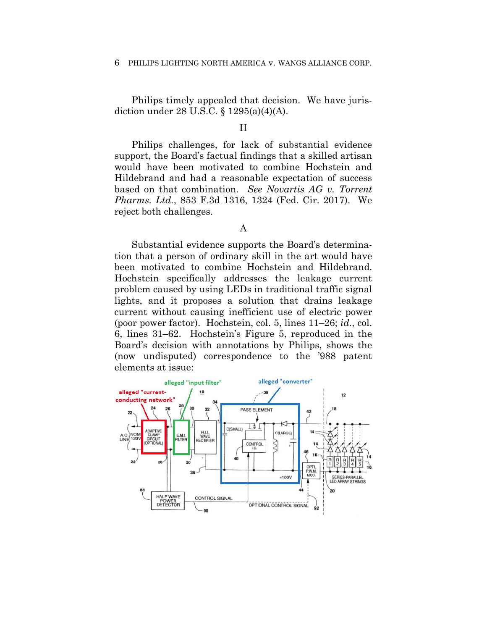Philips timely appealed that decision. We have jurisdiction under 28 U.S.C. § 1295(a)(4)(A).

## II

Philips challenges, for lack of substantial evidence support, the Board's factual findings that a skilled artisan would have been motivated to combine Hochstein and Hildebrand and had a reasonable expectation of success based on that combination. *See Novartis AG v. Torrent Pharms. Ltd.*, 853 F.3d 1316, 1324 (Fed. Cir. 2017). We reject both challenges.

## A

Substantial evidence supports the Board's determination that a person of ordinary skill in the art would have been motivated to combine Hochstein and Hildebrand. Hochstein specifically addresses the leakage current problem caused by using LEDs in traditional traffic signal lights, and it proposes a solution that drains leakage current without causing inefficient use of electric power (poor power factor). Hochstein, col. 5, lines 11–26; *id.*, col. 6, lines 31–62. Hochstein's Figure 5, reproduced in the Board's decision with annotations by Philips, shows the (now undisputed) correspondence to the '988 patent elements at issue:

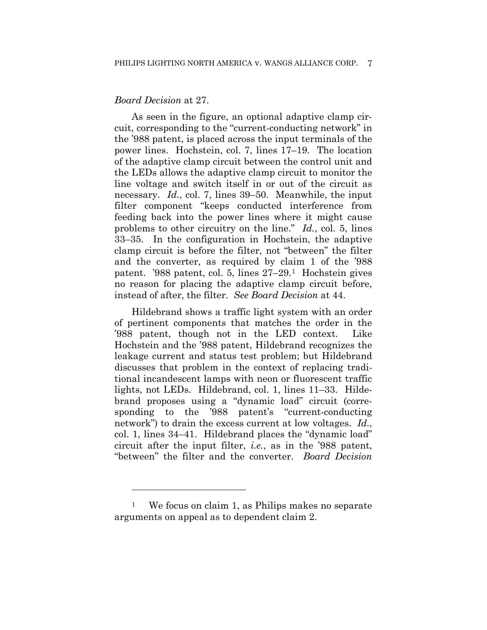## *Board Decision* at 27.

1

As seen in the figure, an optional adaptive clamp circuit, corresponding to the "current-conducting network" in the '988 patent, is placed across the input terminals of the power lines. Hochstein, col. 7, lines 17–19. The location of the adaptive clamp circuit between the control unit and the LEDs allows the adaptive clamp circuit to monitor the line voltage and switch itself in or out of the circuit as necessary. *Id.*, col. 7, lines 39–50. Meanwhile, the input filter component "keeps conducted interference from feeding back into the power lines where it might cause problems to other circuitry on the line." *Id.*, col. 5, lines 33–35. In the configuration in Hochstein, the adaptive clamp circuit is before the filter, not "between" the filter and the converter, as required by claim 1 of the '988 patent. '988 patent, col. 5, lines 27–29.1 Hochstein gives no reason for placing the adaptive clamp circuit before, instead of after, the filter. *See Board Decision* at 44.

Hildebrand shows a traffic light system with an order of pertinent components that matches the order in the '988 patent, though not in the LED context. Like Hochstein and the '988 patent, Hildebrand recognizes the leakage current and status test problem; but Hildebrand discusses that problem in the context of replacing traditional incandescent lamps with neon or fluorescent traffic lights, not LEDs. Hildebrand, col. 1, lines 11–33.Hildebrand proposes using a "dynamic load" circuit (corresponding to the '988 patent's "current-conducting network") to drain the excess current at low voltages. *Id.*, col. 1, lines 34–41. Hildebrand places the "dynamic load" circuit after the input filter, *i.e.*, as in the '988 patent, "between" the filter and the converter. *Board Decision* 

<sup>1</sup> We focus on claim 1, as Philips makes no separate arguments on appeal as to dependent claim 2.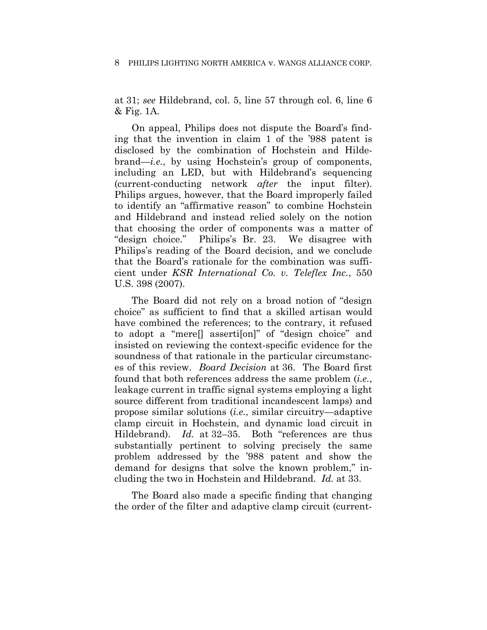at 31; *see* Hildebrand, col. 5, line 57 through col. 6, line 6 & Fig. 1A.

On appeal, Philips does not dispute the Board's finding that the invention in claim 1 of the '988 patent is disclosed by the combination of Hochstein and Hildebrand—*i.e.*, by using Hochstein's group of components, including an LED, but with Hildebrand's sequencing (current-conducting network *after* the input filter). Philips argues, however, that the Board improperly failed to identify an "affirmative reason" to combine Hochstein and Hildebrand and instead relied solely on the notion that choosing the order of components was a matter of "design choice." Philips's Br. 23. We disagree with Philips's reading of the Board decision, and we conclude that the Board's rationale for the combination was sufficient under *KSR International Co. v. Teleflex Inc.*, 550 U.S. 398 (2007).

The Board did not rely on a broad notion of "design choice" as sufficient to find that a skilled artisan would have combined the references; to the contrary, it refused to adopt a "mere[] asserti[on]" of "design choice" and insisted on reviewing the context-specific evidence for the soundness of that rationale in the particular circumstances of this review. *Board Decision* at 36. The Board first found that both references address the same problem (*i.e.*, leakage current in traffic signal systems employing a light source different from traditional incandescent lamps) and propose similar solutions (*i.e.*, similar circuitry—adaptive clamp circuit in Hochstein, and dynamic load circuit in Hildebrand). *Id.* at 32–35. Both "references are thus substantially pertinent to solving precisely the same problem addressed by the '988 patent and show the demand for designs that solve the known problem," including the two in Hochstein and Hildebrand. *Id.* at 33.

The Board also made a specific finding that changing the order of the filter and adaptive clamp circuit (current-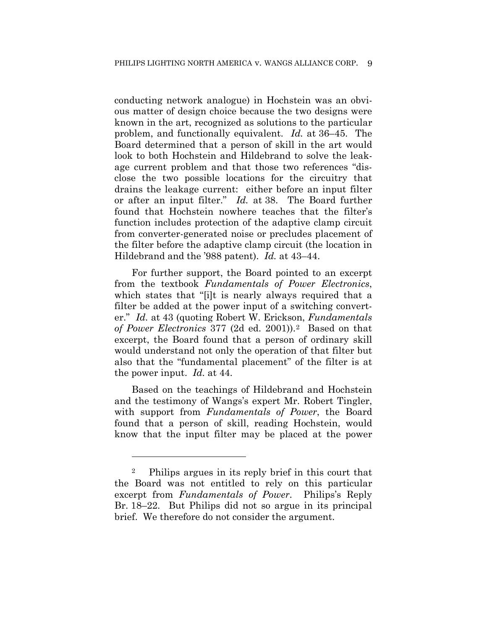conducting network analogue) in Hochstein was an obvious matter of design choice because the two designs were known in the art, recognized as solutions to the particular problem, and functionally equivalent. *Id.* at 36–45. The Board determined that a person of skill in the art would look to both Hochstein and Hildebrand to solve the leakage current problem and that those two references "disclose the two possible locations for the circuitry that drains the leakage current: either before an input filter or after an input filter." *Id.* at 38. The Board further found that Hochstein nowhere teaches that the filter's function includes protection of the adaptive clamp circuit from converter-generated noise or precludes placement of the filter before the adaptive clamp circuit (the location in Hildebrand and the '988 patent). *Id.* at 43–44.

For further support, the Board pointed to an excerpt from the textbook *Fundamentals of Power Electronics*, which states that "[i]t is nearly always required that a filter be added at the power input of a switching converter." *Id.* at 43 (quoting Robert W. Erickson, *Fundamentals of Power Electronics* 377 (2d ed. 2001)).2 Based on that excerpt, the Board found that a person of ordinary skill would understand not only the operation of that filter but also that the "fundamental placement" of the filter is at the power input. *Id.* at 44.

Based on the teachings of Hildebrand and Hochstein and the testimony of Wangs's expert Mr. Robert Tingler, with support from *Fundamentals of Power*, the Board found that a person of skill, reading Hochstein, would know that the input filter may be placed at the power

<sup>2</sup> Philips argues in its reply brief in this court that the Board was not entitled to rely on this particular excerpt from *Fundamentals of Power*. Philips's Reply Br. 18–22. But Philips did not so argue in its principal brief. We therefore do not consider the argument.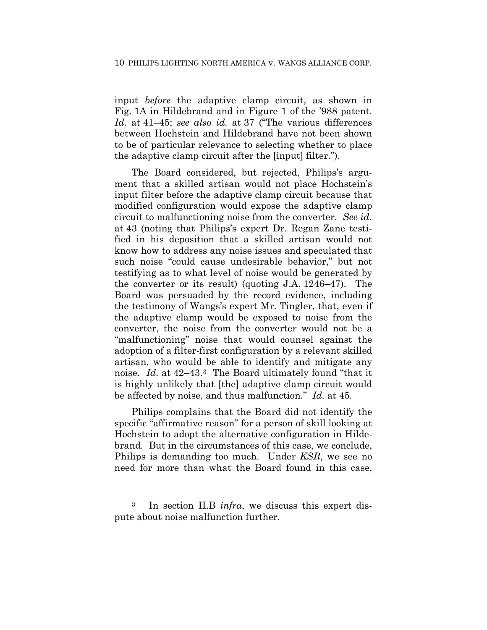input *before* the adaptive clamp circuit, as shown in Fig. 1A in Hildebrand and in Figure 1 of the '988 patent. *Id.* at 41–45; *see also id.* at 37 ("The various differences between Hochstein and Hildebrand have not been shown to be of particular relevance to selecting whether to place the adaptive clamp circuit after the [input] filter.").

The Board considered, but rejected, Philips's argument that a skilled artisan would not place Hochstein's input filter before the adaptive clamp circuit because that modified configuration would expose the adaptive clamp circuit to malfunctioning noise from the converter. *See id.* at 43 (noting that Philips's expert Dr. Regan Zane testified in his deposition that a skilled artisan would not know how to address any noise issues and speculated that such noise "could cause undesirable behavior," but not testifying as to what level of noise would be generated by the converter or its result) (quoting J.A. 1246–47). The Board was persuaded by the record evidence, including the testimony of Wangs's expert Mr. Tingler, that, even if the adaptive clamp would be exposed to noise from the converter, the noise from the converter would not be a "malfunctioning" noise that would counsel against the adoption of a filter-first configuration by a relevant skilled artisan, who would be able to identify and mitigate any noise. *Id.* at 42–43.3 The Board ultimately found "that it is highly unlikely that [the] adaptive clamp circuit would be affected by noise, and thus malfunction." *Id.* at 45.

Philips complains that the Board did not identify the specific "affirmative reason" for a person of skill looking at Hochstein to adopt the alternative configuration in Hildebrand. But in the circumstances of this case, we conclude, Philips is demanding too much. Under *KSR*, we see no need for more than what the Board found in this case,

<sup>3</sup> In section II.B *infra*, we discuss this expert dispute about noise malfunction further.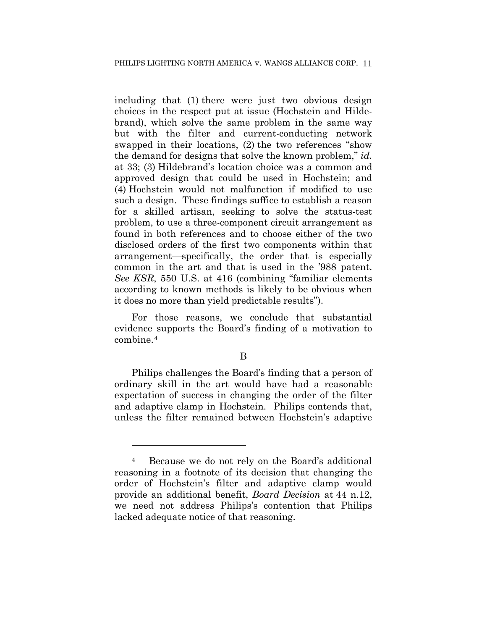including that (1) there were just two obvious design choices in the respect put at issue (Hochstein and Hildebrand), which solve the same problem in the same way but with the filter and current-conducting network swapped in their locations, (2) the two references "show the demand for designs that solve the known problem," *id.* at 33; (3) Hildebrand's location choice was a common and approved design that could be used in Hochstein; and (4) Hochstein would not malfunction if modified to use such a design. These findings suffice to establish a reason for a skilled artisan, seeking to solve the status-test problem, to use a three-component circuit arrangement as found in both references and to choose either of the two disclosed orders of the first two components within that arrangement—specifically, the order that is especially common in the art and that is used in the '988 patent. *See KSR*, 550 U.S. at 416 (combining "familiar elements according to known methods is likely to be obvious when it does no more than yield predictable results").

For those reasons, we conclude that substantial evidence supports the Board's finding of a motivation to combine.4

B

Philips challenges the Board's finding that a person of ordinary skill in the art would have had a reasonable expectation of success in changing the order of the filter and adaptive clamp in Hochstein. Philips contends that, unless the filter remained between Hochstein's adaptive

<sup>4</sup> Because we do not rely on the Board's additional reasoning in a footnote of its decision that changing the order of Hochstein's filter and adaptive clamp would provide an additional benefit, *Board Decision* at 44 n.12, we need not address Philips's contention that Philips lacked adequate notice of that reasoning.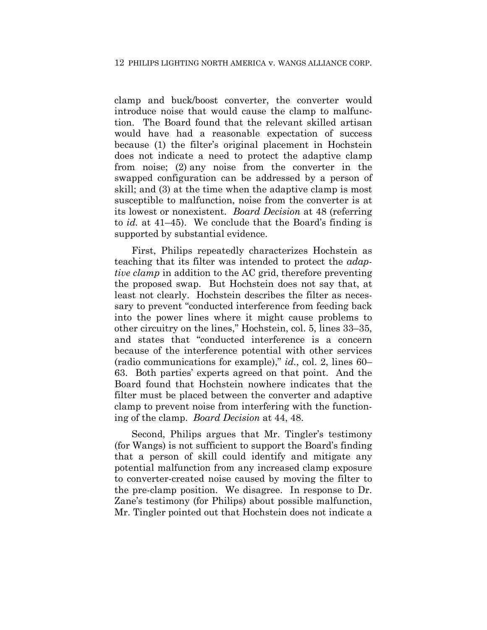clamp and buck/boost converter, the converter would introduce noise that would cause the clamp to malfunction. The Board found that the relevant skilled artisan would have had a reasonable expectation of success because (1) the filter's original placement in Hochstein does not indicate a need to protect the adaptive clamp from noise; (2) any noise from the converter in the swapped configuration can be addressed by a person of skill; and (3) at the time when the adaptive clamp is most susceptible to malfunction, noise from the converter is at its lowest or nonexistent. *Board Decision* at 48 (referring to *id.* at 41–45). We conclude that the Board's finding is supported by substantial evidence.

First, Philips repeatedly characterizes Hochstein as teaching that its filter was intended to protect the *adaptive clamp* in addition to the AC grid, therefore preventing the proposed swap. But Hochstein does not say that, at least not clearly. Hochstein describes the filter as necessary to prevent "conducted interference from feeding back into the power lines where it might cause problems to other circuitry on the lines," Hochstein, col. 5, lines 33–35, and states that "conducted interference is a concern because of the interference potential with other services (radio communications for example)," *id.*, col. 2, lines 60– 63. Both parties' experts agreed on that point. And the Board found that Hochstein nowhere indicates that the filter must be placed between the converter and adaptive clamp to prevent noise from interfering with the functioning of the clamp. *Board Decision* at 44, 48.

Second, Philips argues that Mr. Tingler's testimony (for Wangs) is not sufficient to support the Board's finding that a person of skill could identify and mitigate any potential malfunction from any increased clamp exposure to converter-created noise caused by moving the filter to the pre-clamp position. We disagree. In response to Dr. Zane's testimony (for Philips) about possible malfunction, Mr. Tingler pointed out that Hochstein does not indicate a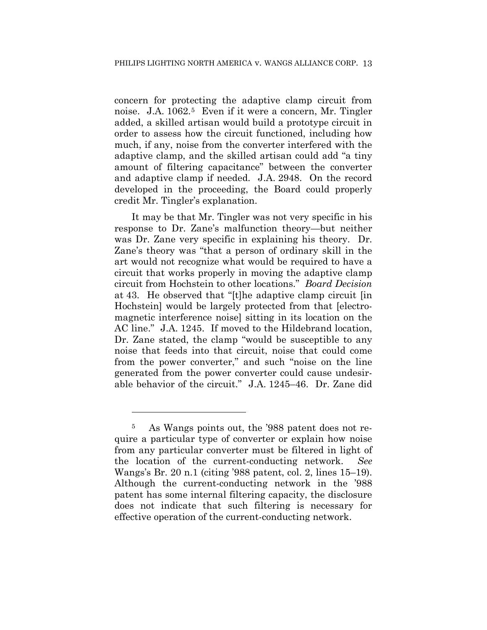concern for protecting the adaptive clamp circuit from noise. J.A. 1062.<sup>5</sup> Even if it were a concern, Mr. Tingler added, a skilled artisan would build a prototype circuit in order to assess how the circuit functioned, including how much, if any, noise from the converter interfered with the adaptive clamp, and the skilled artisan could add "a tiny amount of filtering capacitance" between the converter and adaptive clamp if needed. J.A. 2948. On the record developed in the proceeding, the Board could properly credit Mr. Tingler's explanation.

It may be that Mr. Tingler was not very specific in his response to Dr. Zane's malfunction theory—but neither was Dr. Zane very specific in explaining his theory. Dr. Zane's theory was "that a person of ordinary skill in the art would not recognize what would be required to have a circuit that works properly in moving the adaptive clamp circuit from Hochstein to other locations." *Board Decision*  at 43. He observed that "[t]he adaptive clamp circuit [in Hochstein] would be largely protected from that [electromagnetic interference noise] sitting in its location on the AC line." J.A. 1245. If moved to the Hildebrand location, Dr. Zane stated, the clamp "would be susceptible to any noise that feeds into that circuit, noise that could come from the power converter," and such "noise on the line generated from the power converter could cause undesirable behavior of the circuit." J.A. 1245–46. Dr. Zane did

<sup>5</sup> As Wangs points out, the '988 patent does not require a particular type of converter or explain how noise from any particular converter must be filtered in light of the location of the current-conducting network. *See* Wangs's Br. 20 n.1 (citing '988 patent, col. 2, lines 15–19). Although the current-conducting network in the '988 patent has some internal filtering capacity, the disclosure does not indicate that such filtering is necessary for effective operation of the current-conducting network.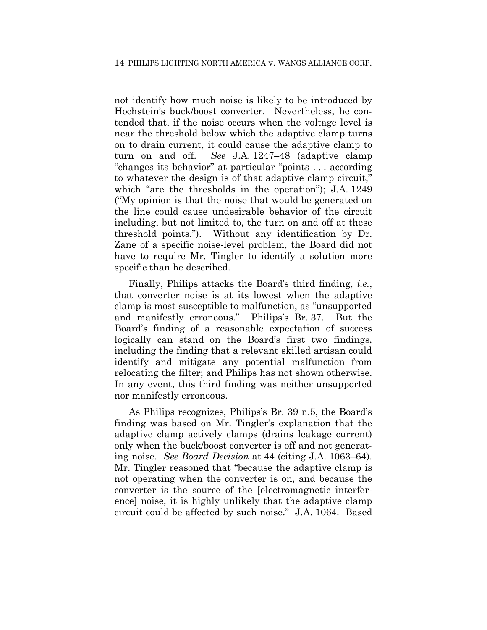not identify how much noise is likely to be introduced by Hochstein's buck/boost converter. Nevertheless, he contended that, if the noise occurs when the voltage level is near the threshold below which the adaptive clamp turns on to drain current, it could cause the adaptive clamp to turn on and off. *See* J.A. 1247–48 (adaptive clamp "changes its behavior" at particular "points . . . according to whatever the design is of that adaptive clamp circuit," which "are the thresholds in the operation"); J.A. 1249 ("My opinion is that the noise that would be generated on the line could cause undesirable behavior of the circuit including, but not limited to, the turn on and off at these threshold points."). Without any identification by Dr. Zane of a specific noise-level problem, the Board did not have to require Mr. Tingler to identify a solution more specific than he described.

Finally, Philips attacks the Board's third finding, *i.e.*, that converter noise is at its lowest when the adaptive clamp is most susceptible to malfunction, as "unsupported and manifestly erroneous." Philips's Br. 37. But the Board's finding of a reasonable expectation of success logically can stand on the Board's first two findings, including the finding that a relevant skilled artisan could identify and mitigate any potential malfunction from relocating the filter; and Philips has not shown otherwise. In any event, this third finding was neither unsupported nor manifestly erroneous.

As Philips recognizes, Philips's Br. 39 n.5, the Board's finding was based on Mr. Tingler's explanation that the adaptive clamp actively clamps (drains leakage current) only when the buck/boost converter is off and not generating noise. *See Board Decision* at 44 (citing J.A. 1063–64). Mr. Tingler reasoned that "because the adaptive clamp is not operating when the converter is on, and because the converter is the source of the [electromagnetic interference] noise, it is highly unlikely that the adaptive clamp circuit could be affected by such noise." J.A. 1064. Based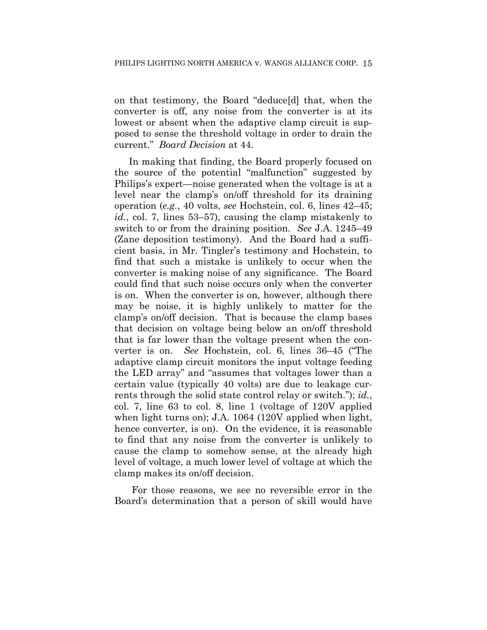on that testimony, the Board "deduce[d] that, when the converter is off, any noise from the converter is at its lowest or absent when the adaptive clamp circuit is supposed to sense the threshold voltage in order to drain the current." *Board Decision* at 44.

In making that finding, the Board properly focused on the source of the potential "malfunction" suggested by Philips's expert—noise generated when the voltage is at a level near the clamp's on/off threshold for its draining operation (*e.g.*, 40 volts, *see* Hochstein, col. 6, lines 42–45; *id.*, col. 7, lines 53–57), causing the clamp mistakenly to switch to or from the draining position. *See* J.A. 1245–49 (Zane deposition testimony). And the Board had a sufficient basis, in Mr. Tingler's testimony and Hochstein, to find that such a mistake is unlikely to occur when the converter is making noise of any significance. The Board could find that such noise occurs only when the converter is on. When the converter is on, however, although there may be noise, it is highly unlikely to matter for the clamp's on/off decision. That is because the clamp bases that decision on voltage being below an on/off threshold that is far lower than the voltage present when the converter is on. *See* Hochstein, col. 6, lines 36–45 ("The adaptive clamp circuit monitors the input voltage feeding the LED array" and "assumes that voltages lower than a certain value (typically 40 volts) are due to leakage currents through the solid state control relay or switch."); *id.*, col. 7, line 63 to col. 8, line 1 (voltage of 120V applied when light turns on); J.A. 1064 (120V applied when light, hence converter, is on). On the evidence, it is reasonable to find that any noise from the converter is unlikely to cause the clamp to somehow sense, at the already high level of voltage, a much lower level of voltage at which the clamp makes its on/off decision.

For those reasons, we see no reversible error in the Board's determination that a person of skill would have